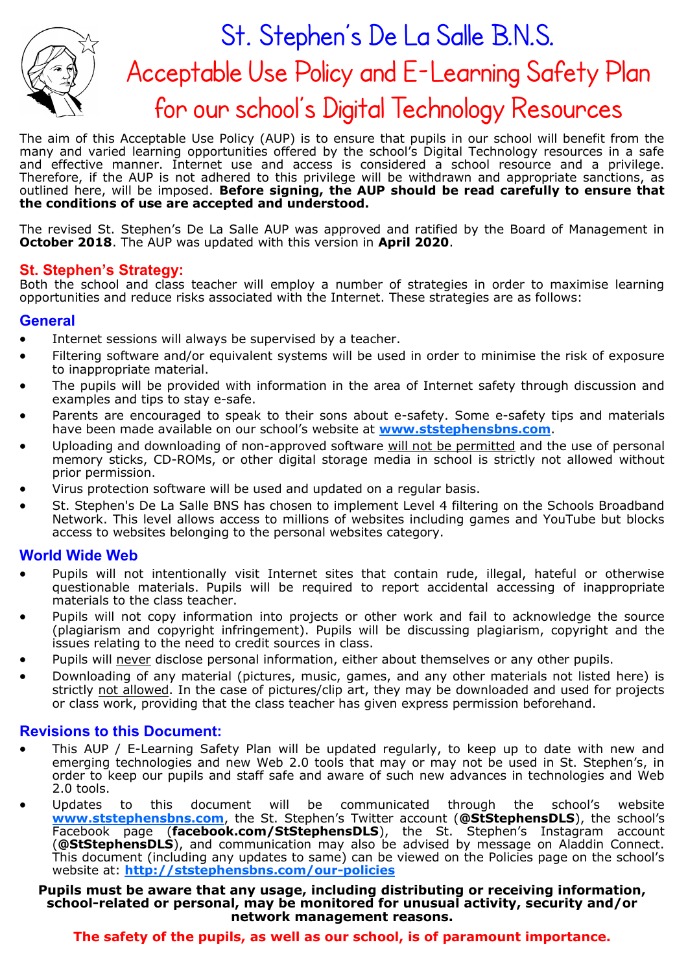

# St. Stephen's De La Salle B.N.S.

# Acceptable Use Policy and E-Learning Safety Plan for our school's Digital Technology Resources

The aim of this Acceptable Use Policy (AUP) is to ensure that pupils in our school will benefit from the many and varied learning opportunities offered by the school's Digital Technology resources in a safe and effective manner. Internet use and access is considered a school resource and a privilege. Therefore, if the AUP is not adhered to this privilege will be withdrawn and appropriate sanctions, as outlined here, will be imposed. **Before signing, the AUP should be read carefully to ensure that the conditions of use are accepted and understood.**

The revised St. Stephen's De La Salle AUP was approved and ratified by the Board of Management in **October 2018**. The AUP was updated with this version in **April 2020**.

## **St. Stephen's Strategy:**

Both the school and class teacher will employ a number of strategies in order to maximise learning opportunities and reduce risks associated with the Internet. These strategies are as follows:

## **General**

- Internet sessions will always be supervised by a teacher.
- Filtering software and/or equivalent systems will be used in order to minimise the risk of exposure to inappropriate material.
- The pupils will be provided with information in the area of Internet safety through discussion and examples and tips to stay e-safe.
- Parents are encouraged to speak to their sons about e-safety. Some e-safety tips and materials have been made available on our school's website at **[www.ststephensbns.com](http://www.ststephensbns.com)**.
- Uploading and downloading of non-approved software will not be permitted and the use of personal memory sticks, CD-ROMs, or other digital storage media in school is strictly not allowed without prior permission.
- Virus protection software will be used and updated on a regular basis.
- St. Stephen's De La Salle BNS has chosen to implement Level 4 filtering on the Schools Broadband Network. This level allows access to millions of websites including games and YouTube but blocks access to websites belonging to the personal websites category.

## **World Wide Web**

- Pupils will not intentionally visit Internet sites that contain rude, illegal, hateful or otherwise questionable materials. Pupils will be required to report accidental accessing of inappropriate materials to the class teacher.
- Pupils will not copy information into projects or other work and fail to acknowledge the source (plagiarism and copyright infringement). Pupils will be discussing plagiarism, copyright and the issues relating to the need to credit sources in class.
- Pupils will never disclose personal information, either about themselves or any other pupils.
- Downloading of any material (pictures, music, games, and any other materials not listed here) is strictly not allowed. In the case of pictures/clip art, they may be downloaded and used for projects or class work, providing that the class teacher has given express permission beforehand.

#### **Revisions to this Document:**

- This AUP / E-Learning Safety Plan will be updated regularly, to keep up to date with new and emerging technologies and new Web 2.0 tools that may or may not be used in St. Stephen's, in order to keep our pupils and staff safe and aware of such new advances in technologies and Web 2.0 tools.
- Updates to this document will be communicated through the school's website **[www.ststephensbns.com](http://www.ststephensbns.com)**, the St. Stephen's Twitter account (**@StStephensDLS**), the school's Facebook page (**facebook.com/StStephensDLS**), the St. Stephen's Instagram account (**@StStephensDLS**), and communication may also be advised by message on Aladdin Connect. This document (including any updates to same) can be viewed on the Policies page on the school's website at: **[http://ststephensbns.com/our](http://www.ststephensbns.com/our-policies)-policies**

#### **Pupils must be aware that any usage, including distributing or receiving information, school-related or personal, may be monitored for unusual activity, security and/or network management reasons.**

**The safety of the pupils, as well as our school, is of paramount importance.**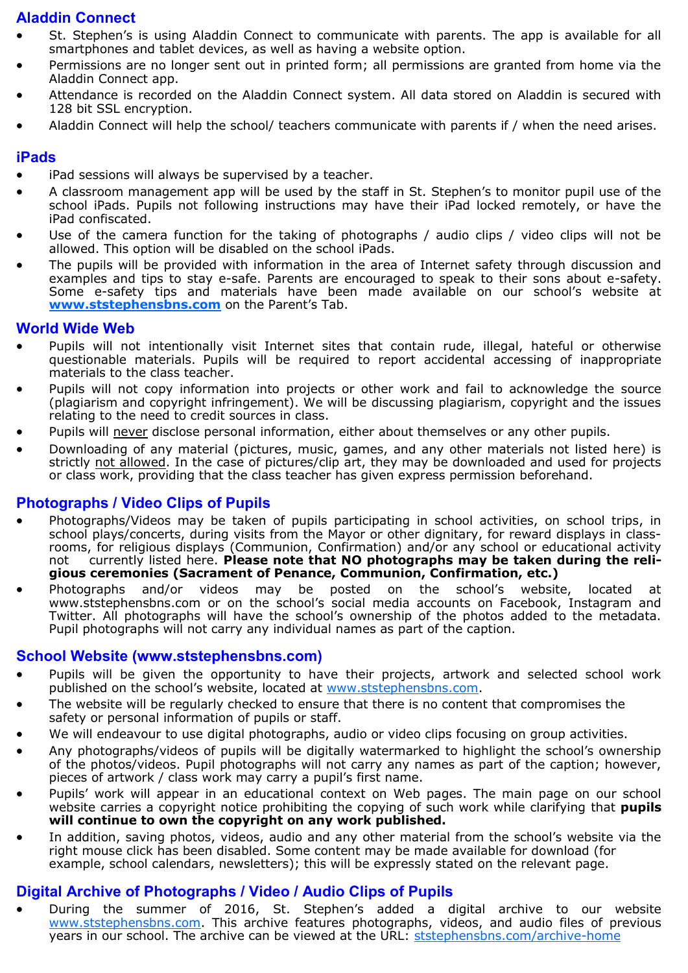## **Aladdin Connect**

- St. Stephen's is using Aladdin Connect to communicate with parents. The app is available for all smartphones and tablet devices, as well as having a website option.
- Permissions are no longer sent out in printed form; all permissions are granted from home via the Aladdin Connect app.
- Attendance is recorded on the Aladdin Connect system. All data stored on Aladdin is secured with 128 bit SSL encryption.
- Aladdin Connect will help the school/ teachers communicate with parents if / when the need arises.

## **iPads**

- iPad sessions will always be supervised by a teacher.
- A classroom management app will be used by the staff in St. Stephen's to monitor pupil use of the school iPads. Pupils not following instructions may have their iPad locked remotely, or have the iPad confiscated.
- Use of the camera function for the taking of photographs / audio clips / video clips will not be allowed. This option will be disabled on the school iPads.
- The pupils will be provided with information in the area of Internet safety through discussion and examples and tips to stay e-safe. Parents are encouraged to speak to their sons about e-safety. Some e-safety tips and materials have been made available on our school's website at **[www.ststephensbns.com](http://www.ststephensbns.com/)** on the Parent's Tab.

## **World Wide Web**

- Pupils will not intentionally visit Internet sites that contain rude, illegal, hateful or otherwise questionable materials. Pupils will be required to report accidental accessing of inappropriate materials to the class teacher.
- Pupils will not copy information into projects or other work and fail to acknowledge the source (plagiarism and copyright infringement). We will be discussing plagiarism, copyright and the issues relating to the need to credit sources in class.
- Pupils will never disclose personal information, either about themselves or any other pupils.
- Downloading of any material (pictures, music, games, and any other materials not listed here) is strictly not allowed. In the case of pictures/clip art, they may be downloaded and used for projects or class work, providing that the class teacher has given express permission beforehand.

## **Photographs / Video Clips of Pupils**

- Photographs/Videos may be taken of pupils participating in school activities, on school trips, in school plays/concerts, during visits from the Mayor or other dignitary, for reward displays in classrooms, for religious displays (Communion, Confirmation) and/or any school or educational activity currently listed here. Please note that NO photographs may be taken during the reli**gious ceremonies (Sacrament of Penance, Communion, Confirmation, etc.)**
- Photographs and/or videos may be posted on the school's website, located at www.ststephensbns.com or on the school's social media accounts on Facebook, Instagram and Twitter. All photographs will have the school's ownership of the photos added to the metadata. Pupil photographs will not carry any individual names as part of the caption.

#### **School Website (www.ststephensbns.com)**

- Pupils will be given the opportunity to have their projects, artwork and selected school work published on the school's website, located at [www.ststephensbns.com.](http://www.ststephensbns.com/)
- The website will be regularly checked to ensure that there is no content that compromises the safety or personal information of pupils or staff.
- We will endeavour to use digital photographs, audio or video clips focusing on group activities.
- Any photographs/videos of pupils will be digitally watermarked to highlight the school's ownership of the photos/videos. Pupil photographs will not carry any names as part of the caption; however, pieces of artwork / class work may carry a pupil's first name.
- Pupils' work will appear in an educational context on Web pages. The main page on our school website carries a copyright notice prohibiting the copying of such work while clarifying that **pupils will continue to own the copyright on any work published.**
- In addition, saving photos, videos, audio and any other material from the school's website via the right mouse click has been disabled. Some content may be made available for download (for example, school calendars, newsletters); this will be expressly stated on the relevant page.

# **Digital Archive of Photographs / Video / Audio Clips of Pupils**

 During the summer of 2016, St. Stephen's added a digital archive to our website [www.ststephensbns.com.](http://www.ststephensbns.com/) This archive features photographs, videos, and audio files of previous years in our school. The archive can be viewed at the URL: [ststephensbns.com/archive](http://www.ststephensbns.com/archive-home)-home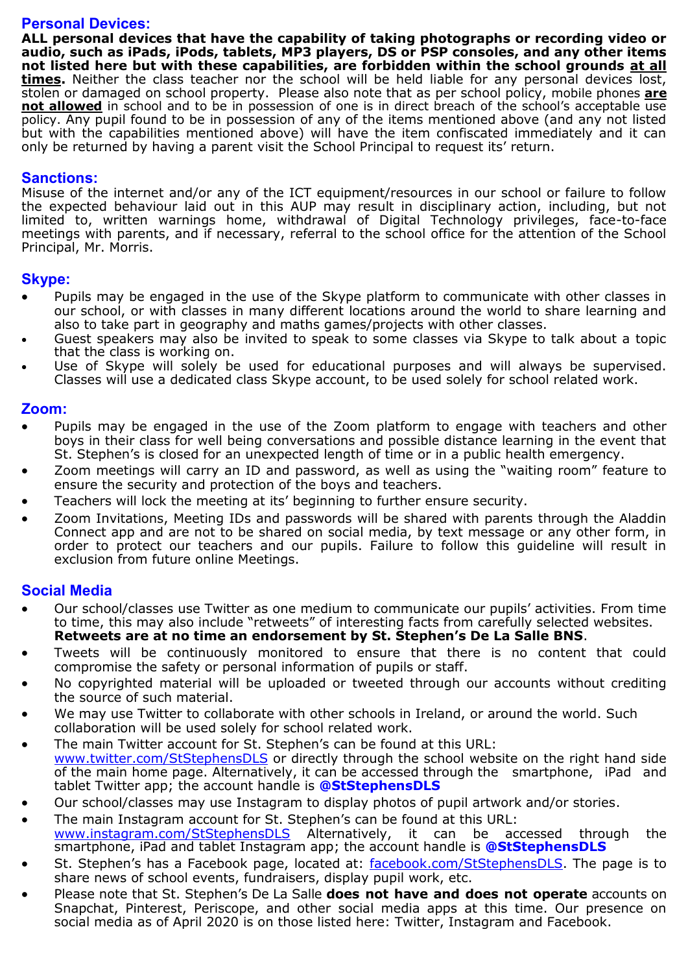## **Personal Devices:**

**ALL personal devices that have the capability of taking photographs or recording video or audio, such as iPads, iPods, tablets, MP3 players, DS or PSP consoles, and any other items not listed here but with these capabilities, are forbidden within the school grounds at all times.** Neither the class teacher nor the school will be held liable for any personal devices lost, stolen or damaged on school property. Please also note that as per school policy, mobile phones **are**  not allowed in school and to be in possession of one is in direct breach of the school's acceptable use policy. Any pupil found to be in possession of any of the items mentioned above (and any not listed but with the capabilities mentioned above) will have the item confiscated immediately and it can only be returned by having a parent visit the School Principal to request its' return.

#### **Sanctions:**

Misuse of the internet and/or any of the ICT equipment/resources in our school or failure to follow the expected behaviour laid out in this AUP may result in disciplinary action, including, but not limited to, written warnings home, withdrawal of Digital Technology privileges, face-to-face meetings with parents, and if necessary, referral to the school office for the attention of the School Principal, Mr. Morris.

## **Skype:**

- Pupils may be engaged in the use of the Skype platform to communicate with other classes in our school, or with classes in many different locations around the world to share learning and also to take part in geography and maths games/projects with other classes.
- Guest speakers may also be invited to speak to some classes via Skype to talk about a topic that the class is working on.
- Use of Skype will solely be used for educational purposes and will always be supervised. Classes will use a dedicated class Skype account, to be used solely for school related work.

#### **Zoom:**

- Pupils may be engaged in the use of the Zoom platform to engage with teachers and other boys in their class for well being conversations and possible distance learning in the event that St. Stephen's is closed for an unexpected length of time or in a public health emergency.
- Zoom meetings will carry an ID and password, as well as using the "waiting room" feature to ensure the security and protection of the boys and teachers.
- Teachers will lock the meeting at its' beginning to further ensure security.
- Zoom Invitations, Meeting IDs and passwords will be shared with parents through the Aladdin Connect app and are not to be shared on social media, by text message or any other form, in order to protect our teachers and our pupils. Failure to follow this guideline will result in exclusion from future online Meetings.

#### **Social Media**

- Our school/classes use Twitter as one medium to communicate our pupils' activities. From time to time, this may also include "retweets" of interesting facts from carefully selected websites. **Retweets are at no time an endorsement by St. Stephen's De La Salle BNS**.
- Tweets will be continuously monitored to ensure that there is no content that could compromise the safety or personal information of pupils or staff.
- No copyrighted material will be uploaded or tweeted through our accounts without crediting the source of such material.
- We may use Twitter to collaborate with other schools in Ireland, or around the world. Such collaboration will be used solely for school related work.
- The main Twitter account for St. Stephen's can be found at this URL: www.twitter.com/StStephensDLS or directly through the school website on the right hand side of the main home page. Alternatively, it can be accessed through the smartphone, iPad and tablet Twitter app; the account handle is **@StStephensDLS**
- Our school/classes may use Instagram to display photos of pupil artwork and/or stories.
- The main Instagram account for St. Stephen's can be found at this URL: www.instagram.com/StStephensDLS Alternatively, it can be accessed through the smartphone, iPad and tablet Instagram app; the account handle is **@StStephensDLS**
- St. Stephen's has a Facebook page, located at: **facebook.com/StStephensDLS**. The page is to share news of school events, fundraisers, display pupil work, etc.
- Please note that St. Stephen's De La Salle **does not have and does not operate** accounts on Snapchat, Pinterest, Periscope, and other social media apps at this time. Our presence on social media as of April 2020 is on those listed here: Twitter, Instagram and Facebook.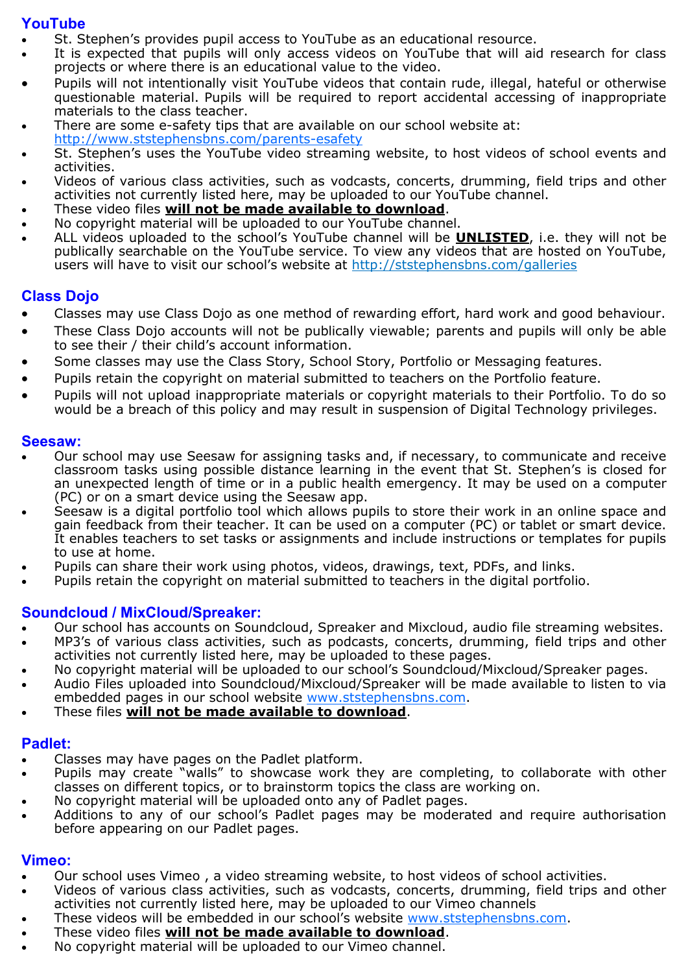## **YouTube**

- St. Stephen's provides pupil access to YouTube as an educational resource.
- It is expected that pupils will only access videos on YouTube that will aid research for class projects or where there is an educational value to the video.
- Pupils will not intentionally visit YouTube videos that contain rude, illegal, hateful or otherwise questionable material. Pupils will be required to report accidental accessing of inappropriate materials to the class teacher.
- There are some e-safety tips that are available on our school website at: [http://www.ststephensbns.com/parents](http://www.ststephensbns.com/parents-esafety)-esafety
- St. Stephen's uses the YouTube video streaming website, to host videos of school events and activities.
- Videos of various class activities, such as vodcasts, concerts, drumming, field trips and other activities not currently listed here, may be uploaded to our YouTube channel.
- These video files **will not be made available to download**.
- No copyright material will be uploaded to our YouTube channel.
- ALL videos uploaded to the school's YouTube channel will be **UNLISTED**, i.e. they will not be publically searchable on the YouTube service. To view any videos that are hosted on YouTube, users will have to visit our school's website at http://ststephensbns.com/galleries

# **Class Dojo**

- Classes may use Class Dojo as one method of rewarding effort, hard work and good behaviour.
- These Class Dojo accounts will not be publically viewable; parents and pupils will only be able to see their / their child's account information.
- Some classes may use the Class Story, School Story, Portfolio or Messaging features.
- Pupils retain the copyright on material submitted to teachers on the Portfolio feature.
- Pupils will not upload inappropriate materials or copyright materials to their Portfolio. To do so would be a breach of this policy and may result in suspension of Digital Technology privileges.

#### **Seesaw:**

- Our school may use Seesaw for assigning tasks and, if necessary, to communicate and receive classroom tasks using possible distance learning in the event that St. Stephen's is closed for an unexpected length of time or in a public health emergency. It may be used on a computer (PC) or on a smart device using the Seesaw app.
- Seesaw is a digital portfolio tool which allows pupils to store their work in an online space and gain feedback from their teacher. It can be used on a computer (PC) or tablet or smart device. It enables teachers to set tasks or assignments and include instructions or templates for pupils to use at home.
- Pupils can share their work using photos, videos, drawings, text, PDFs, and links.
- Pupils retain the copyright on material submitted to teachers in the digital portfolio.

## **Soundcloud / MixCloud/Spreaker:**

- Our school has accounts on Soundcloud, Spreaker and Mixcloud, audio file streaming websites.
- MP3's of various class activities, such as podcasts, concerts, drumming, field trips and other activities not currently listed here, may be uploaded to these pages.
- No copyright material will be uploaded to our school's Soundcloud/Mixcloud/Spreaker pages.
- Audio Files uploaded into Soundcloud/Mixcloud/Spreaker will be made available to listen to via embedded pages in our school website [www.ststephensbns.com.](http://www.ststephensbns.com/)
- These files **will not be made available to download**.

## **Padlet:**

- Classes may have pages on the Padlet platform.
- Pupils may create "walls" to showcase work they are completing, to collaborate with other classes on different topics, or to brainstorm topics the class are working on.
- No copyright material will be uploaded onto any of Padlet pages.
- Additions to any of our school's Padlet pages may be moderated and require authorisation before appearing on our Padlet pages.

#### **Vimeo:**

- Our school uses Vimeo , a video streaming website, to host videos of school activities.
- Videos of various class activities, such as vodcasts, concerts, drumming, field trips and other activities not currently listed here, may be uploaded to our Vimeo channels
- These videos will be embedded in our school's website [www.ststephensbns.com.](http://www.ststephensbns.com/)
- These video files **will not be made available to download**.
- No copyright material will be uploaded to our Vimeo channel.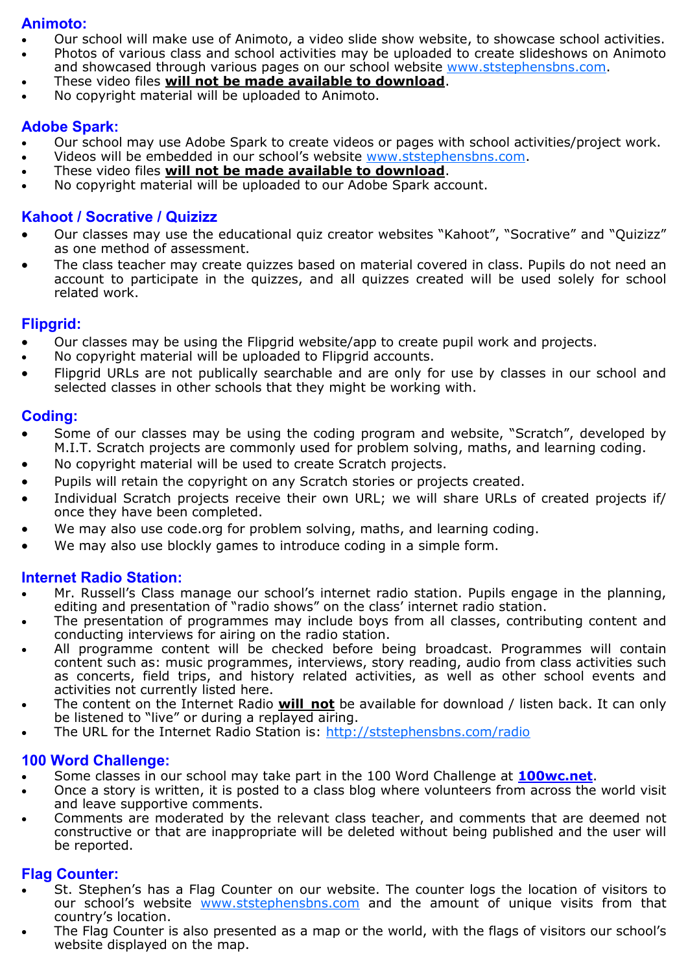#### **Animoto:**

- Our school will make use of Animoto, a video slide show website, to showcase school activities.
- Photos of various class and school activities may be uploaded to create slideshows on Animoto and showcased through various pages on our school website [www.ststephensbns.com.](http://www.ststephensbns.com/)
- These video files **will not be made available to download**.
- No copyright material will be uploaded to Animoto.

## **Adobe Spark:**

- Our school may use Adobe Spark to create videos or pages with school activities/project work.
- Videos will be embedded in our school's website [www.ststephensbns.com.](http://www.ststephensbns.com/)
- These video files **will not be made available to download**.
- No copyright material will be uploaded to our Adobe Spark account.

## **Kahoot / Socrative / Quizizz**

- Our classes may use the educational quiz creator websites "Kahoot", "Socrative" and "Quizizz" as one method of assessment.
- The class teacher may create quizzes based on material covered in class. Pupils do not need an account to participate in the quizzes, and all quizzes created will be used solely for school related work.

## **Flipgrid:**

- Our classes may be using the Flipgrid website/app to create pupil work and projects.
- No copyright material will be uploaded to Flipgrid accounts.
- Flipgrid URLs are not publically searchable and are only for use by classes in our school and selected classes in other schools that they might be working with.

## **Coding:**

- Some of our classes may be using the coding program and website, "Scratch", developed by M.I.T. Scratch projects are commonly used for problem solving, maths, and learning coding.
- No copyright material will be used to create Scratch projects.
- Pupils will retain the copyright on any Scratch stories or projects created.
- Individual Scratch projects receive their own URL; we will share URLs of created projects if/ once they have been completed.
- We may also use code.org for problem solving, maths, and learning coding.
- We may also use blockly games to introduce coding in a simple form.

## **Internet Radio Station:**

- Mr. Russell's Class manage our school's internet radio station. Pupils engage in the planning, editing and presentation of "radio shows" on the class' internet radio station.
- The presentation of programmes may include boys from all classes, contributing content and conducting interviews for airing on the radio station.
- All programme content will be checked before being broadcast. Programmes will contain content such as: music programmes, interviews, story reading, audio from class activities such as concerts, field trips, and history related activities, as well as other school events and activities not currently listed here.
- The content on the Internet Radio **will not** be available for download / listen back. It can only be listened to "live" or during a replayed airing.
- The URL for the Internet Radio Station is: [http://ststephensbns.com/radio](http://www.ststephensbns.com/radio)

## **100 Word Challenge:**

- Some classes in our school may take part in the 100 Word Challenge at **100wc.net**.
- Once a story is written, it is posted to a class blog where volunteers from across the world visit and leave supportive comments.
- Comments are moderated by the relevant class teacher, and comments that are deemed not constructive or that are inappropriate will be deleted without being published and the user will be reported.

#### **Flag Counter:**

- St. Stephen's has a Flag Counter on our website. The counter logs the location of visitors to our school's website [www.ststephensbns.com](http://www.ststephensbns.com/) and the amount of unique visits from that country's location.
- The Flag Counter is also presented as a map or the world, with the flags of visitors our school's website displayed on the map.